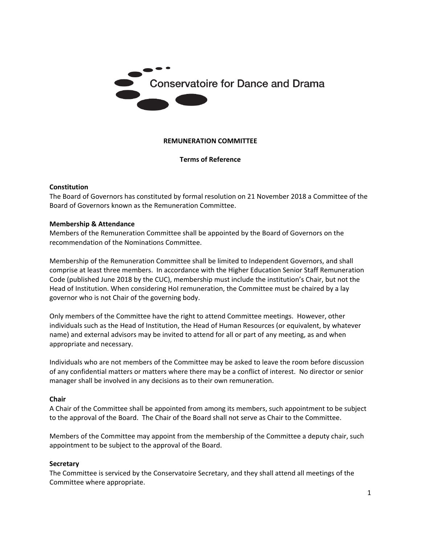

### **REMUNERATION COMMITTEE**

#### **Terms of Reference**

### **Constitution**

The Board of Governors has constituted by formal resolution on 21 November 2018 a Committee of the Board of Governors known as the Remuneration Committee.

### **Membership & Attendance**

Members of the Remuneration Committee shall be appointed by the Board of Governors on the recommendation of the Nominations Committee.

Membership of the Remuneration Committee shall be limited to Independent Governors, and shall comprise at least three members. In accordance with the Higher Education Senior Staff Remuneration Code (published June 2018 by the CUC), membership must include the institution's Chair, but not the Head of Institution. When considering HoI remuneration, the Committee must be chaired by a lay governor who is not Chair of the governing body.

Only members of the Committee have the right to attend Committee meetings. However, other individuals such as the Head of Institution, the Head of Human Resources (or equivalent, by whatever name) and external advisors may be invited to attend for all or part of any meeting, as and when appropriate and necessary.

Individuals who are not members of the Committee may be asked to leave the room before discussion of any confidential matters or matters where there may be a conflict of interest. No director or senior manager shall be involved in any decisions as to their own remuneration.

#### **Chair**

A Chair of the Committee shall be appointed from among its members, such appointment to be subject to the approval of the Board. The Chair of the Board shall not serve as Chair to the Committee.

Members of the Committee may appoint from the membership of the Committee a deputy chair, such appointment to be subject to the approval of the Board.

#### **Secretary**

The Committee is serviced by the Conservatoire Secretary, and they shall attend all meetings of the Committee where appropriate.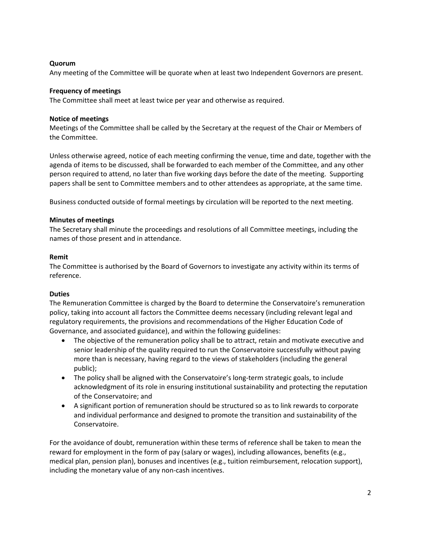# **Quorum**

Any meeting of the Committee will be quorate when at least two Independent Governors are present.

## **Frequency of meetings**

The Committee shall meet at least twice per year and otherwise as required.

# **Notice of meetings**

Meetings of the Committee shall be called by the Secretary at the request of the Chair or Members of the Committee.

Unless otherwise agreed, notice of each meeting confirming the venue, time and date, together with the agenda of items to be discussed, shall be forwarded to each member of the Committee, and any other person required to attend, no later than five working days before the date of the meeting. Supporting papers shall be sent to Committee members and to other attendees as appropriate, at the same time.

Business conducted outside of formal meetings by circulation will be reported to the next meeting.

## **Minutes of meetings**

The Secretary shall minute the proceedings and resolutions of all Committee meetings, including the names of those present and in attendance.

# **Remit**

The Committee is authorised by the Board of Governors to investigate any activity within its terms of reference.

# **Duties**

The Remuneration Committee is charged by the Board to determine the Conservatoire's remuneration policy, taking into account all factors the Committee deems necessary (including relevant legal and regulatory requirements, the provisions and recommendations of the Higher Education Code of Governance, and associated guidance), and within the following guidelines:

- The objective of the remuneration policy shall be to attract, retain and motivate executive and senior leadership of the quality required to run the Conservatoire successfully without paying more than is necessary, having regard to the views of stakeholders (including the general public);
- The policy shall be aligned with the Conservatoire's long-term strategic goals, to include acknowledgment of its role in ensuring institutional sustainability and protecting the reputation of the Conservatoire; and
- A significant portion of remuneration should be structured so as to link rewards to corporate and individual performance and designed to promote the transition and sustainability of the Conservatoire.

For the avoidance of doubt, remuneration within these terms of reference shall be taken to mean the reward for employment in the form of pay (salary or wages), including allowances, benefits (e.g., medical plan, pension plan), bonuses and incentives (e.g., tuition reimbursement, relocation support), including the monetary value of any non-cash incentives.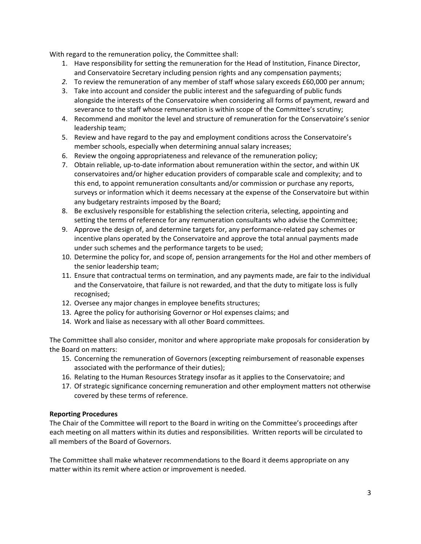With regard to the remuneration policy, the Committee shall:

- 1. Have responsibility for setting the remuneration for the Head of Institution, Finance Director, and Conservatoire Secretary including pension rights and any compensation payments;
- *2.* To review the remuneration of any member of staff whose salary exceeds £60,000 per annum;
- 3. Take into account and consider the public interest and the safeguarding of public funds alongside the interests of the Conservatoire when considering all forms of payment, reward and severance to the staff whose remuneration is within scope of the Committee's scrutiny;
- 4. Recommend and monitor the level and structure of remuneration for the Conservatoire's senior leadership team;
- 5. Review and have regard to the pay and employment conditions across the Conservatoire's member schools, especially when determining annual salary increases;
- 6. Review the ongoing appropriateness and relevance of the remuneration policy;
- 7. Obtain reliable, up-to-date information about remuneration within the sector, and within UK conservatoires and/or higher education providers of comparable scale and complexity; and to this end, to appoint remuneration consultants and/or commission or purchase any reports, surveys or information which it deems necessary at the expense of the Conservatoire but within any budgetary restraints imposed by the Board;
- 8. Be exclusively responsible for establishing the selection criteria, selecting, appointing and setting the terms of reference for any remuneration consultants who advise the Committee;
- 9. Approve the design of, and determine targets for, any performance-related pay schemes or incentive plans operated by the Conservatoire and approve the total annual payments made under such schemes and the performance targets to be used;
- 10. Determine the policy for, and scope of, pension arrangements for the HoI and other members of the senior leadership team;
- 11. Ensure that contractual terms on termination, and any payments made, are fair to the individual and the Conservatoire, that failure is not rewarded, and that the duty to mitigate loss is fully recognised;
- 12. Oversee any major changes in employee benefits structures;
- 13. Agree the policy for authorising Governor or HoI expenses claims; and
- 14. Work and liaise as necessary with all other Board committees.

The Committee shall also consider, monitor and where appropriate make proposals for consideration by the Board on matters:

- 15. Concerning the remuneration of Governors (excepting reimbursement of reasonable expenses associated with the performance of their duties);
- 16. Relating to the Human Resources Strategy insofar as it applies to the Conservatoire; and
- 17. Of strategic significance concerning remuneration and other employment matters not otherwise covered by these terms of reference.

# **Reporting Procedures**

The Chair of the Committee will report to the Board in writing on the Committee's proceedings after each meeting on all matters within its duties and responsibilities. Written reports will be circulated to all members of the Board of Governors.

The Committee shall make whatever recommendations to the Board it deems appropriate on any matter within its remit where action or improvement is needed.